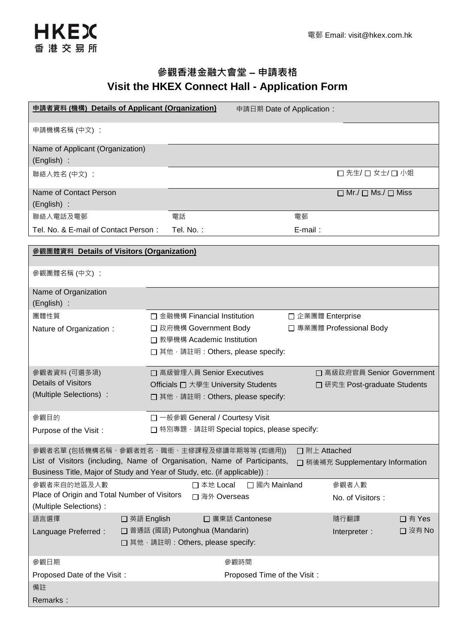

## 參觀香港金融大會堂 **–** 申請表格 **Visit the HKEX Connect Hall - Application Form**

| 申請者資料 (機構) Details of Applicant (Organization)                                                                                                                                                                                                          |                                                         | 申請日期 Date of Application:   |                   |                                     |         |  |
|---------------------------------------------------------------------------------------------------------------------------------------------------------------------------------------------------------------------------------------------------------|---------------------------------------------------------|-----------------------------|-------------------|-------------------------------------|---------|--|
| 申請機構名稱 (中文):                                                                                                                                                                                                                                            |                                                         |                             |                   |                                     |         |  |
| Name of Applicant (Organization)<br>(English) :                                                                                                                                                                                                         |                                                         |                             |                   |                                     |         |  |
| 聯絡人姓名 (中文) :                                                                                                                                                                                                                                            |                                                         |                             |                   | □ 先生/ □ 女士/ □ 小姐                    |         |  |
| Name of Contact Person<br>(English) :                                                                                                                                                                                                                   |                                                         |                             |                   | $\Box$ Mr./ $\Box$ Ms./ $\Box$ Miss |         |  |
| 聯絡人電話及電郵                                                                                                                                                                                                                                                | 電話                                                      |                             | 電郵                |                                     |         |  |
| Tel. No. & E-mail of Contact Person:                                                                                                                                                                                                                    | Tel. No.:                                               |                             | $E$ -mail:        |                                     |         |  |
|                                                                                                                                                                                                                                                         |                                                         |                             |                   |                                     |         |  |
| 参觀團體資料 Details of Visitors (Organization)                                                                                                                                                                                                               |                                                         |                             |                   |                                     |         |  |
| 參觀團體名稱 (中文):                                                                                                                                                                                                                                            |                                                         |                             |                   |                                     |         |  |
| Name of Organization<br>(English) :                                                                                                                                                                                                                     |                                                         |                             |                   |                                     |         |  |
| 團體性質                                                                                                                                                                                                                                                    | □ 金融機構 Financial Institution                            |                             | □ 企業團體 Enterprise |                                     |         |  |
| Nature of Organization:                                                                                                                                                                                                                                 | □ 政府機構 Government Body                                  |                             |                   | □ 專業團體 Professional Body            |         |  |
|                                                                                                                                                                                                                                                         | □ 教學機構 Academic Institution                             |                             |                   |                                     |         |  |
|                                                                                                                                                                                                                                                         | □ 其他, 請註明: Others, please specify:                      |                             |                   |                                     |         |  |
| 參觀者資料 (可選多項)                                                                                                                                                                                                                                            | □ 高級管理人員 Senior Executives                              |                             |                   | □ 高級政府官員 Senior Government          |         |  |
| <b>Details of Visitors</b>                                                                                                                                                                                                                              | Officials $\square \star \cong \pm$ University Students |                             |                   | □ 研究生 Post-graduate Students        |         |  |
| (Multiple Selections) :                                                                                                                                                                                                                                 | □ 其他, 請註明: Others, please specify:                      |                             |                   |                                     |         |  |
| 參觀目的                                                                                                                                                                                                                                                    | □ 一般參觀 General / Courtesy Visit                         |                             |                   |                                     |         |  |
| Purpose of the Visit:                                                                                                                                                                                                                                   | □ 特別專題, 請註明 Special topics, please specify:             |                             |                   |                                     |         |  |
| 參觀者名單 (包括機構名稱、參觀者姓名、職銜、主修課程及修讀年期等等 (如適用))<br>□ 附上 Attached<br>List of Visitors (including, Name of Organisation, Name of Participants,<br>□ 稍後補充 Supplementary Information<br>Business Title, Major of Study and Year of Study, etc. (if applicable)) : |                                                         |                             |                   |                                     |         |  |
| 參觀者來自的地區及人數                                                                                                                                                                                                                                             | □ 本地 Local                                              | □ 國內 Mainland               |                   | 參觀者人數                               |         |  |
| Place of Origin and Total Number of Visitors                                                                                                                                                                                                            | □ 海外 Overseas                                           |                             |                   | No. of Visitors:                    |         |  |
| (Multiple Selections) :                                                                                                                                                                                                                                 |                                                         |                             |                   |                                     |         |  |
| 語言選擇<br>□ 英語 English                                                                                                                                                                                                                                    |                                                         | □ 廣東話 Cantonese             |                   | 隨行翻譯                                | □ 有 Yes |  |
| Language Preferred:                                                                                                                                                                                                                                     | □ 普通話 (國語) Putonghua (Mandarin)                         |                             |                   | Interpreter:                        | □ 沒有 No |  |
| □ 其他 · 請註明: Others, please specify:                                                                                                                                                                                                                     |                                                         |                             |                   |                                     |         |  |
| 參觀日期                                                                                                                                                                                                                                                    |                                                         | 參觀時間                        |                   |                                     |         |  |
| Proposed Date of the Visit:                                                                                                                                                                                                                             |                                                         | Proposed Time of the Visit: |                   |                                     |         |  |
| 備註                                                                                                                                                                                                                                                      |                                                         |                             |                   |                                     |         |  |
| Remarks:                                                                                                                                                                                                                                                |                                                         |                             |                   |                                     |         |  |